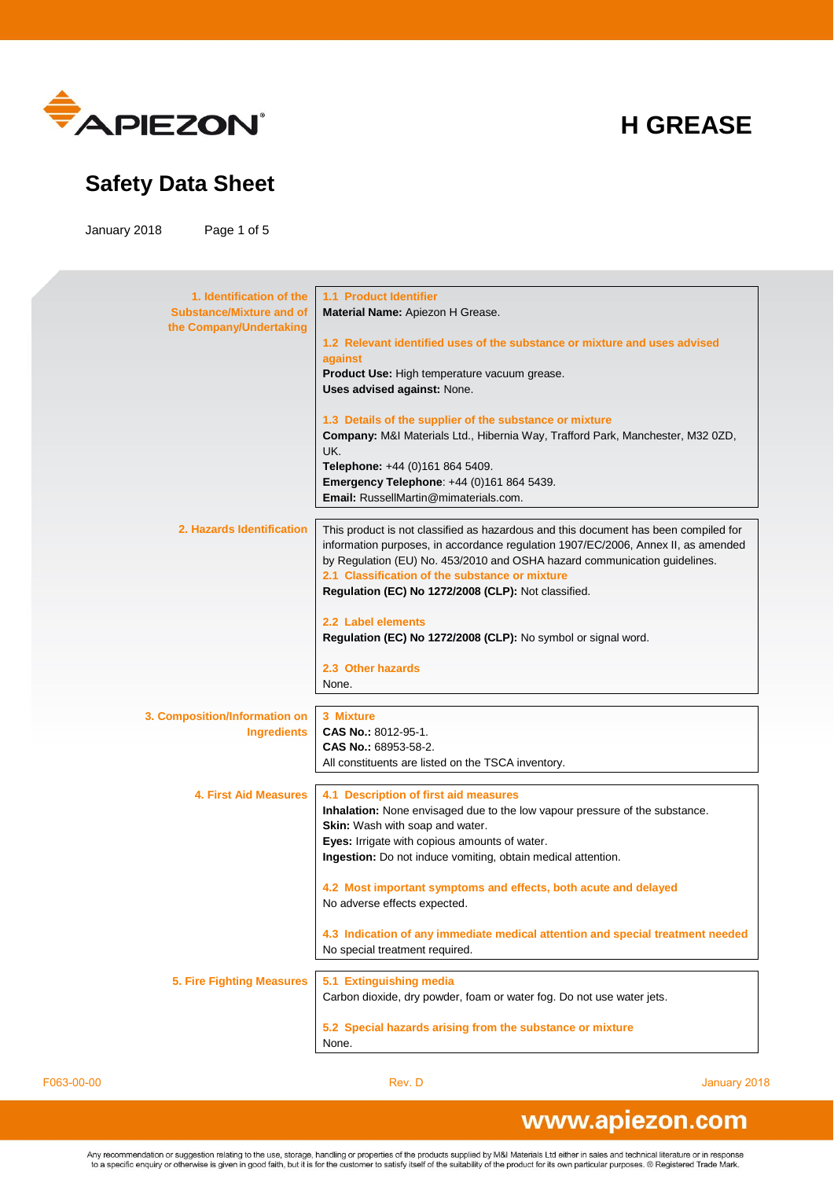

#### **Safety Data Sheet**

January 2018 Page 1 of 5

**1. Identification of the Substance/Mixture and of the Company/Undertaking 1.1 Product Identifier Material Name:** Apiezon H Grease. **1.2 Relevant identified uses of the substance or mixture and uses advised against Product Use:** High temperature vacuum grease. **Uses advised against:** None. **1.3 Details of the supplier of the substance or mixture Company:** M&I Materials Ltd., Hibernia Way, Trafford Park, Manchester, M32 0ZD, UK. **Telephone:** +44 (0)161 864 5409. **Emergency Telephone**: +44 (0)161 864 5439. **Email:** RussellMartin@mimaterials.com. **2. Hazards Identification** This product is not classified as hazardous and this document has been compiled for information purposes, in accordance regulation 1907/EC/2006, Annex II, as amended by Regulation (EU) No. 453/2010 and OSHA hazard communication guidelines. **2.1 Classification of the substance or mixture Regulation (EC) No 1272/2008 (CLP):** Not classified. **2.2 Label elements Regulation (EC) No 1272/2008 (CLP):** No symbol or signal word. **2.3 Other hazards** None. **3. Composition/Information on Ingredients 3 Mixture CAS No.:** 8012-95-1. **CAS No.:** 68953-58-2. All constituents are listed on the TSCA inventory. **4. First Aid Measures 4.1 Description of first aid measures Inhalation:** None envisaged due to the low vapour pressure of the substance. **Skin:** Wash with soap and water. **Eyes:** Irrigate with copious amounts of water. **Ingestion:** Do not induce vomiting, obtain medical attention. **4.2 Most important symptoms and effects, both acute and delayed** No adverse effects expected. **4.3 Indication of any immediate medical attention and special treatment needed** No special treatment required. **5. Fire Fighting Measures 5.1 Extinguishing media** Carbon dioxide, dry powder, foam or water fog. Do not use water jets. **5.2 Special hazards arising from the substance or mixture** None.

F063-00-00 Rev. D January 2018

#### www.apiezon.com

Any recommendation or suggestion relating to the use, storage, handling or properties of the products supplied by M&I Materials Ltd either in sales and technical literature or in response to a specific enquiry or otherwise is given in good faith, but it is for the customer to satisfy itself of the suitability of the product for its own particular purposes. ® Registered Trade Mark.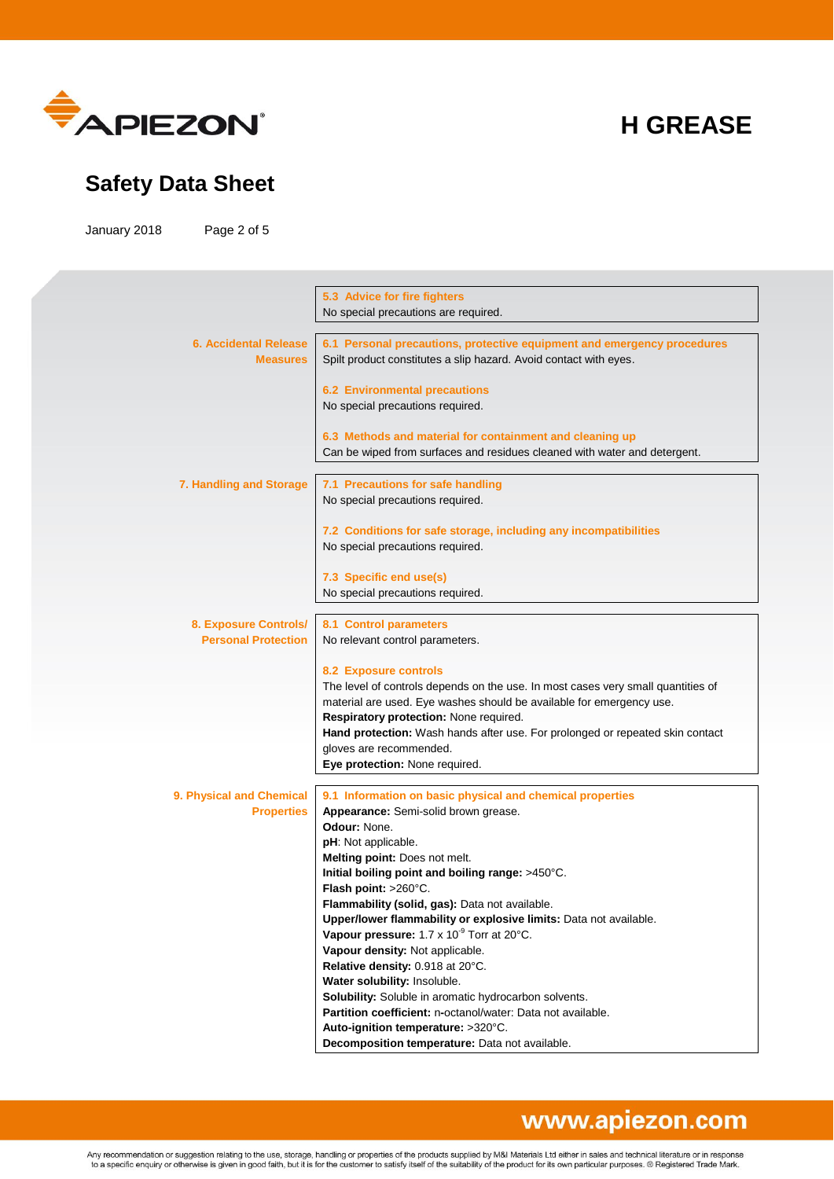

#### **Safety Data Sheet**

January 2018 Page 2 of 5

|                              | 5.3 Advice for fire fighters                                                     |
|------------------------------|----------------------------------------------------------------------------------|
|                              | No special precautions are required.                                             |
|                              |                                                                                  |
|                              |                                                                                  |
| <b>6. Accidental Release</b> | 6.1 Personal precautions, protective equipment and emergency procedures          |
| <b>Measures</b>              | Spilt product constitutes a slip hazard. Avoid contact with eyes.                |
|                              |                                                                                  |
|                              | <b>6.2 Environmental precautions</b>                                             |
|                              | No special precautions required.                                                 |
|                              |                                                                                  |
|                              |                                                                                  |
|                              | 6.3 Methods and material for containment and cleaning up                         |
|                              | Can be wiped from surfaces and residues cleaned with water and detergent.        |
|                              |                                                                                  |
| 7. Handling and Storage      | 7.1 Precautions for safe handling                                                |
|                              | No special precautions required.                                                 |
|                              |                                                                                  |
|                              |                                                                                  |
|                              | 7.2 Conditions for safe storage, including any incompatibilities                 |
|                              | No special precautions required.                                                 |
|                              |                                                                                  |
|                              | 7.3 Specific end use(s)                                                          |
|                              | No special precautions required.                                                 |
|                              |                                                                                  |
|                              |                                                                                  |
| 8. Exposure Controls/        | 8.1 Control parameters                                                           |
| <b>Personal Protection</b>   | No relevant control parameters.                                                  |
|                              |                                                                                  |
|                              | <b>8.2 Exposure controls</b>                                                     |
|                              | The level of controls depends on the use. In most cases very small quantities of |
|                              | material are used. Eye washes should be available for emergency use.             |
|                              |                                                                                  |
|                              | Respiratory protection: None required.                                           |
|                              | Hand protection: Wash hands after use. For prolonged or repeated skin contact    |
|                              | gloves are recommended.                                                          |
|                              | Eye protection: None required.                                                   |
|                              |                                                                                  |
|                              |                                                                                  |
| 9. Physical and Chemical     | 9.1 Information on basic physical and chemical properties                        |
| <b>Properties</b>            | Appearance: Semi-solid brown grease.                                             |
|                              | Odour: None.                                                                     |
|                              | pH: Not applicable.                                                              |
|                              | Melting point: Does not melt.                                                    |
|                              | Initial boiling point and boiling range: >450°C.                                 |
|                              |                                                                                  |
|                              | Flash point: >260°C.                                                             |
|                              | Flammability (solid, gas): Data not available.                                   |
|                              | Upper/lower flammability or explosive limits: Data not available.                |
|                              | Vapour pressure: 1.7 x 10 <sup>°</sup> Torr at 20°C.                             |
|                              | Vapour density: Not applicable.                                                  |
|                              | Relative density: 0.918 at 20°C.                                                 |
|                              |                                                                                  |
|                              | Water solubility: Insoluble.                                                     |
|                              | Solubility: Soluble in aromatic hydrocarbon solvents.                            |
|                              | Partition coefficient: n-octanol/water: Data not available.                      |
|                              | Auto-ignition temperature: >320°C.                                               |
|                              | Decomposition temperature: Data not available.                                   |
|                              |                                                                                  |

# www.apiezon.com

Any recommendation or suggestion relating to the use, storage, handling or properties of the products supplied by M&I Materials Ltd either in sales and technical literature or in response<br>to a specific enquiry or otherwise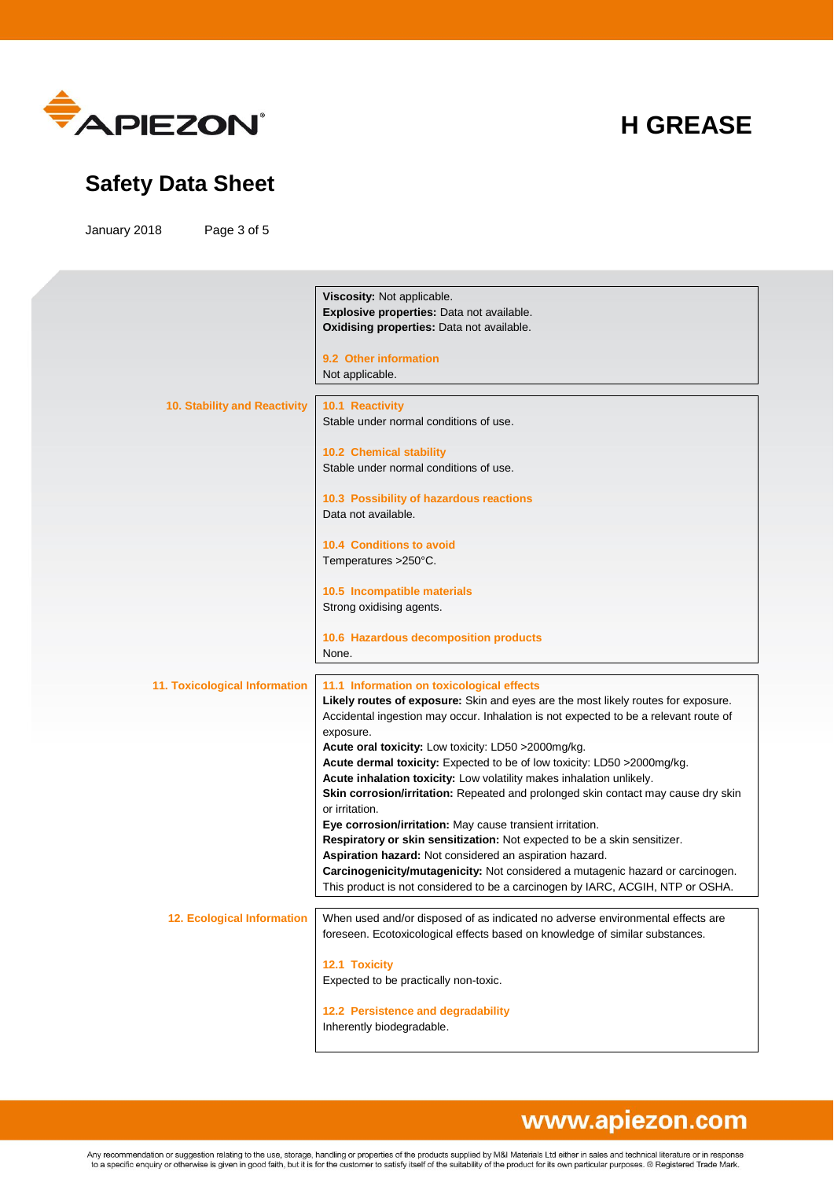

#### **Safety Data Sheet**

January 2018 Page 3 of 5

|                                      | Viscosity: Not applicable.                                                           |
|--------------------------------------|--------------------------------------------------------------------------------------|
|                                      | Explosive properties: Data not available.                                            |
|                                      | Oxidising properties: Data not available.                                            |
|                                      |                                                                                      |
|                                      | 9.2 Other information                                                                |
|                                      |                                                                                      |
|                                      | Not applicable.                                                                      |
|                                      |                                                                                      |
| 10. Stability and Reactivity         | 10.1 Reactivity                                                                      |
|                                      | Stable under normal conditions of use.                                               |
|                                      |                                                                                      |
|                                      | 10.2 Chemical stability                                                              |
|                                      | Stable under normal conditions of use.                                               |
|                                      |                                                                                      |
|                                      | 10.3 Possibility of hazardous reactions                                              |
|                                      | Data not available.                                                                  |
|                                      |                                                                                      |
|                                      |                                                                                      |
|                                      | <b>10.4 Conditions to avoid</b>                                                      |
|                                      | Temperatures >250°C.                                                                 |
|                                      |                                                                                      |
|                                      | 10.5 Incompatible materials                                                          |
|                                      | Strong oxidising agents.                                                             |
|                                      |                                                                                      |
|                                      | 10.6 Hazardous decomposition products                                                |
|                                      | None.                                                                                |
|                                      |                                                                                      |
| <b>11. Toxicological Information</b> | 11.1 Information on toxicological effects                                            |
|                                      | Likely routes of exposure: Skin and eyes are the most likely routes for exposure.    |
|                                      | Accidental ingestion may occur. Inhalation is not expected to be a relevant route of |
|                                      | exposure.                                                                            |
|                                      | Acute oral toxicity: Low toxicity: LD50 >2000mg/kg.                                  |
|                                      |                                                                                      |
|                                      | Acute dermal toxicity: Expected to be of low toxicity: LD50 >2000mg/kg.              |
|                                      | Acute inhalation toxicity: Low volatility makes inhalation unlikely.                 |
|                                      | Skin corrosion/irritation: Repeated and prolonged skin contact may cause dry skin    |
|                                      | or irritation.                                                                       |
|                                      | Eye corrosion/irritation: May cause transient irritation.                            |
|                                      | Respiratory or skin sensitization: Not expected to be a skin sensitizer.             |
|                                      | Aspiration hazard: Not considered an aspiration hazard.                              |
|                                      | Carcinogenicity/mutagenicity: Not considered a mutagenic hazard or carcinogen.       |
|                                      | This product is not considered to be a carcinogen by IARC, ACGIH, NTP or OSHA.       |
|                                      |                                                                                      |
| <b>12. Ecological Information</b>    | When used and/or disposed of as indicated no adverse environmental effects are       |
|                                      |                                                                                      |
|                                      | foreseen. Ecotoxicological effects based on knowledge of similar substances.         |
|                                      |                                                                                      |
|                                      | 12.1 Toxicity                                                                        |
|                                      | Expected to be practically non-toxic.                                                |
|                                      |                                                                                      |
|                                      | 12.2 Persistence and degradability                                                   |
|                                      |                                                                                      |
|                                      | Inherently biodegradable.                                                            |
|                                      |                                                                                      |

#### www.apiezon.com

Any recommendation or suggestion relating to the use, storage, handling or properties of the products supplied by M&I Materials Ltd either in sales and technical literature or in response<br>to a specific enquiry or otherwise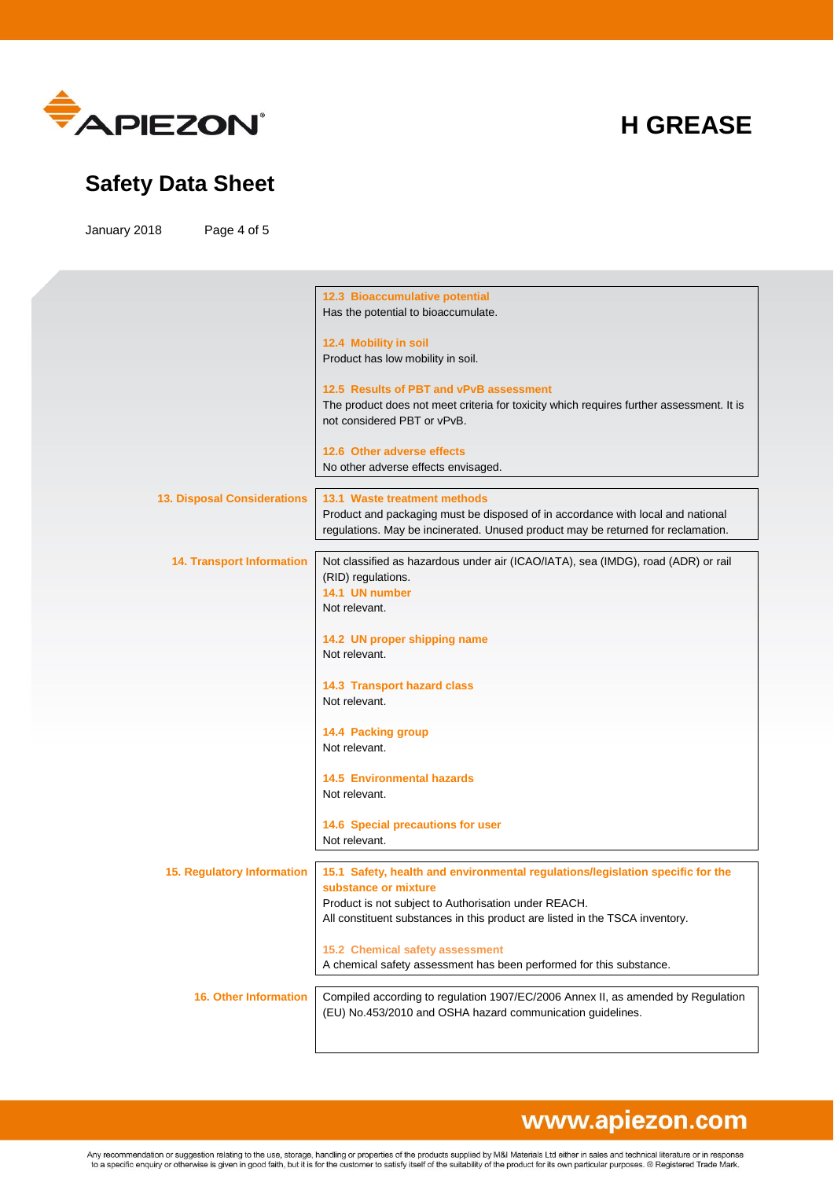

#### **Safety Data Sheet**

January 2018 Page 4 of 5

|                                    | 12.3 Bioaccumulative potential                                                                                          |
|------------------------------------|-------------------------------------------------------------------------------------------------------------------------|
|                                    | Has the potential to bioaccumulate.                                                                                     |
|                                    |                                                                                                                         |
|                                    | 12.4 Mobility in soil                                                                                                   |
|                                    | Product has low mobility in soil.                                                                                       |
|                                    |                                                                                                                         |
|                                    | 12.5 Results of PBT and vPvB assessment                                                                                 |
|                                    | The product does not meet criteria for toxicity which requires further assessment. It is<br>not considered PBT or vPvB. |
|                                    |                                                                                                                         |
|                                    | 12.6 Other adverse effects                                                                                              |
|                                    | No other adverse effects envisaged.                                                                                     |
|                                    |                                                                                                                         |
| <b>13. Disposal Considerations</b> | 13.1 Waste treatment methods                                                                                            |
|                                    | Product and packaging must be disposed of in accordance with local and national                                         |
|                                    | regulations. May be incinerated. Unused product may be returned for reclamation.                                        |
|                                    |                                                                                                                         |
| <b>14. Transport Information</b>   | Not classified as hazardous under air (ICAO/IATA), sea (IMDG), road (ADR) or rail                                       |
|                                    | (RID) regulations.                                                                                                      |
|                                    | 14.1 UN number                                                                                                          |
|                                    | Not relevant.                                                                                                           |
|                                    |                                                                                                                         |
|                                    | 14.2 UN proper shipping name<br>Not relevant.                                                                           |
|                                    |                                                                                                                         |
|                                    | 14.3 Transport hazard class                                                                                             |
|                                    | Not relevant.                                                                                                           |
|                                    |                                                                                                                         |
|                                    | 14.4 Packing group                                                                                                      |
|                                    | Not relevant.                                                                                                           |
|                                    |                                                                                                                         |
|                                    | <b>14.5 Environmental hazards</b>                                                                                       |
|                                    | Not relevant.                                                                                                           |
|                                    |                                                                                                                         |
|                                    | 14.6 Special precautions for user<br>Not relevant.                                                                      |
|                                    |                                                                                                                         |
| <b>15. Regulatory Information</b>  | 15.1 Safety, health and environmental regulations/legislation specific for the                                          |
|                                    | substance or mixture                                                                                                    |
|                                    | Product is not subject to Authorisation under REACH.                                                                    |
|                                    | All constituent substances in this product are listed in the TSCA inventory.                                            |
|                                    |                                                                                                                         |
|                                    | 15.2 Chemical safety assessment                                                                                         |
|                                    | A chemical safety assessment has been performed for this substance.                                                     |
|                                    |                                                                                                                         |
| <b>16. Other Information</b>       | Compiled according to regulation 1907/EC/2006 Annex II, as amended by Regulation                                        |
|                                    | (EU) No.453/2010 and OSHA hazard communication guidelines.                                                              |
|                                    |                                                                                                                         |
|                                    |                                                                                                                         |

# www.apiezon.com

Any recommendation or suggestion relating to the use, storage, handling or properties of the products supplied by M&I Materials Ltd either in sales and technical literature or in response<br>to a specific enquiry or otherwise